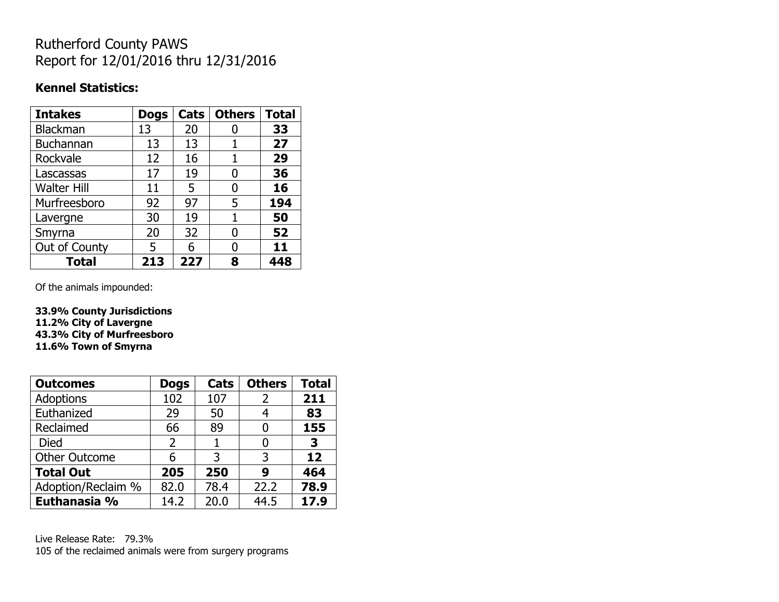## Rutherford County PAWS Report for 12/01/2016 thru 12/31/2016

#### **Kennel Statistics:**

| <b>Intakes</b>     | <b>Dogs</b> | Cats | <b>Others</b> | <b>Total</b> |
|--------------------|-------------|------|---------------|--------------|
| Blackman           | 13          | 20   |               | 33           |
| Buchannan          | 13          | 13   |               | 27           |
| Rockvale           | 12          | 16   |               | 29           |
| Lascassas          | 17          | 19   | 0             | 36           |
| <b>Walter Hill</b> | 11          | 5    | 0             | 16           |
| Murfreesboro       | 92          | 97   | 5             | 194          |
| Lavergne           | 30          | 19   | 1             | 50           |
| Smyrna             | 20          | 32   | O             | 52           |
| Out of County      | 5           | 6    | 0             | 11           |
| <b>Total</b>       | 213         | 227  | 8             | 448          |

Of the animals impounded:

**33.9% County Jurisdictions 11.2% City of Lavergne 43.3% City of Murfreesboro 11.6% Town of Smyrna**

| <b>Outcomes</b>      | <b>Dogs</b>    | Cats | <b>Others</b> | <b>Total</b> |
|----------------------|----------------|------|---------------|--------------|
| <b>Adoptions</b>     | 102            | 107  | 2             | 211          |
| Euthanized           | 29             | 50   |               | 83           |
| Reclaimed            | 66             | 89   |               | 155          |
| Died                 | $\overline{2}$ |      |               | 3            |
| <b>Other Outcome</b> | 6              | 3    | 3             | 12           |
| <b>Total Out</b>     | 205            | 250  | 9             | 464          |
| Adoption/Reclaim %   | 82.0           | 78.4 | 22.2          | 78.9         |
| Euthanasia %         | 14.2           | 20.0 | 44.5          | 17.9         |

Live Release Rate: 79.3% 105 of the reclaimed animals were from surgery programs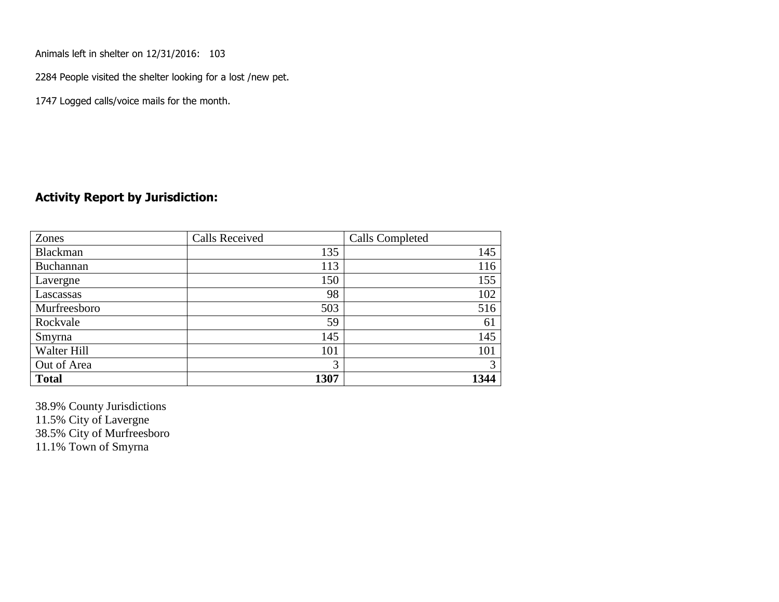Animals left in shelter on 12/31/2016: 103

2284 People visited the shelter looking for a lost /new pet.

1747 Logged calls/voice mails for the month.

#### **Activity Report by Jurisdiction:**

| Zones        | <b>Calls Received</b> | Calls Completed |
|--------------|-----------------------|-----------------|
| Blackman     | 135                   | 145             |
| Buchannan    | 113                   | 116             |
| Lavergne     | 150                   | 155             |
| Lascassas    | 98                    | 102             |
| Murfreesboro | 503                   | 516             |
| Rockvale     | 59                    | 61              |
| Smyrna       | 145                   | 145             |
| Walter Hill  | 101                   | 101             |
| Out of Area  | 3                     | 3               |
| <b>Total</b> | 1307                  | 1344            |

38.9% County Jurisdictions 11.5% City of Lavergne 38.5% City of Murfreesboro

11.1% Town of Smyrna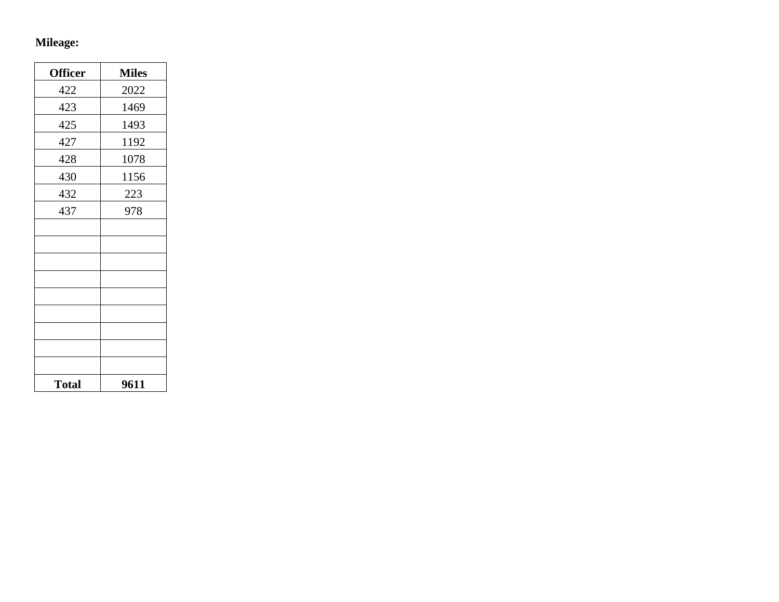# **Mileage:**

| <b>Officer</b> | <b>Miles</b> |
|----------------|--------------|
| 422            | 2022         |
| 423            | 1469         |
| 425            | 1493         |
| 427            | 1192         |
| 428            | 1078         |
| 430            | 1156         |
| 432            | 223          |
| 437            | 978          |
|                |              |
|                |              |
|                |              |
|                |              |
|                |              |
|                |              |
|                |              |
|                |              |
|                |              |
| <b>Total</b>   | 9611         |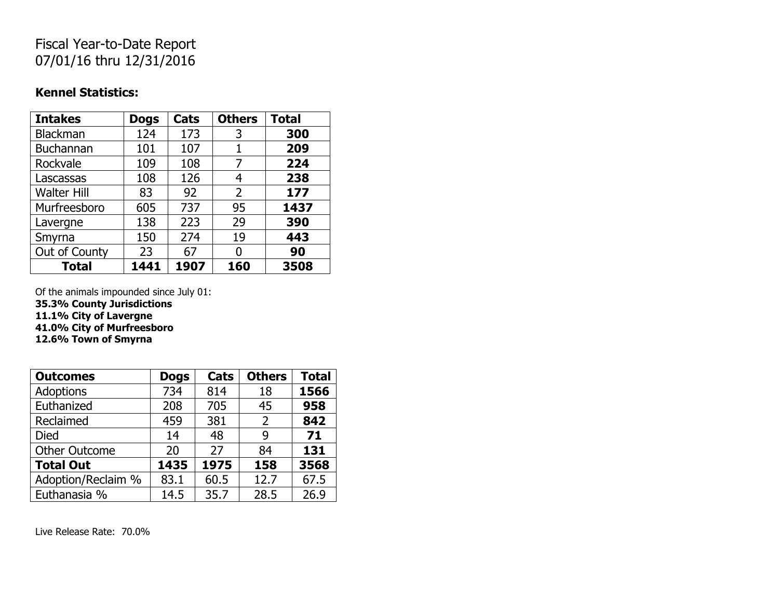# Fiscal Year-to-Date Report 07/01/16 thru 12/31/2016

#### **Kennel Statistics:**

| <b>Intakes</b>     | <b>Dogs</b> | Cats | <b>Others</b> | <b>Total</b> |
|--------------------|-------------|------|---------------|--------------|
| <b>Blackman</b>    | 124         | 173  | 3             | 300          |
| <b>Buchannan</b>   | 101         | 107  | 1             | 209          |
| Rockvale           | 109         | 108  | 7             | 224          |
| Lascassas          | 108         | 126  | 4             | 238          |
| <b>Walter Hill</b> | 83          | 92   | 2             | 177          |
| Murfreesboro       | 605         | 737  | 95            | 1437         |
| Lavergne           | 138         | 223  | 29            | 390          |
| Smyrna             | 150         | 274  | 19            | 443          |
| Out of County      | 23          | 67   | O             | 90           |
| <b>Total</b>       | 1441        | 1907 | 160           | 3508         |

Of the animals impounded since July 01:

**35.3% County Jurisdictions**

**11.1% City of Lavergne**

**41.0% City of Murfreesboro**

**12.6% Town of Smyrna**

| <b>Outcomes</b>      | <b>Dogs</b> | Cats | <b>Others</b>  | <b>Total</b> |
|----------------------|-------------|------|----------------|--------------|
| <b>Adoptions</b>     | 734         | 814  | 18             | 1566         |
| Euthanized           | 208         | 705  | 45             | 958          |
| Reclaimed            | 459         | 381  | $\overline{2}$ | 842          |
| <b>Died</b>          | 14          | 48   | 9              | 71           |
| <b>Other Outcome</b> | 20          | 27   | 84             | 131          |
| <b>Total Out</b>     | 1435        | 1975 | 158            | 3568         |
| Adoption/Reclaim %   | 83.1        | 60.5 | 12.7           | 67.5         |
| Euthanasia %         | 14.5        | 35.7 | 28.5           | 26.9         |

Live Release Rate: 70.0%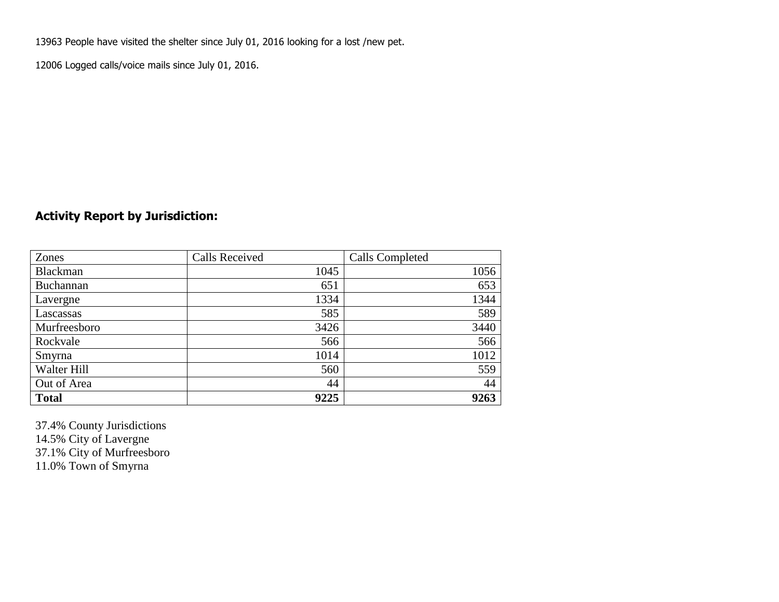13963 People have visited the shelter since July 01, 2016 looking for a lost /new pet.

12006 Logged calls/voice mails since July 01, 2016.

## **Activity Report by Jurisdiction:**

| Zones           | <b>Calls Received</b> | Calls Completed |
|-----------------|-----------------------|-----------------|
| <b>Blackman</b> | 1045                  | 1056            |
| Buchannan       | 651                   | 653             |
| Lavergne        | 1334                  | 1344            |
| Lascassas       | 585                   | 589             |
| Murfreesboro    | 3426                  | 3440            |
| Rockvale        | 566                   | 566             |
| Smyrna          | 1014                  | 1012            |
| Walter Hill     | 560                   | 559             |
| Out of Area     | 44                    | 44              |
| <b>Total</b>    | 9225                  | 9263            |

37.4% County Jurisdictions 14.5% City of Lavergne 37.1% City of Murfreesboro 11.0% Town of Smyrna